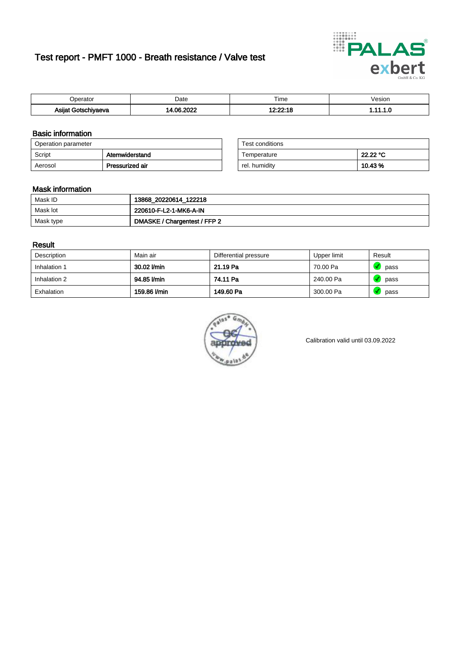# Test report - PMFT 1000 - Breath resistance / Valve test



| )perator                         | Date                | $- \cdot$<br>Гіmе | /esion |
|----------------------------------|---------------------|-------------------|--------|
| Asijat Got <u>s</u> r<br>hiyaeva | , nonc<br>_ ص∩<br>. | 10.00.1c          | .      |

### Basic information

| Operation parameter |                 | Test conditions |          |
|---------------------|-----------------|-----------------|----------|
| Script              | Atemwiderstand  | Temperature     | 22.22 °C |
| Aerosol             | Pressurized air | rel. humidity   | 10.43%   |

| Test conditions |          |
|-----------------|----------|
| Temperature     | 22.22 °C |
| rel. humidity   | 10.43%   |

### Mask information

| Mask ID   | 13868_20220614_122218        |
|-----------|------------------------------|
| Mask lot  | 220610-F-L2-1-MK6-A-IN       |
| Mask type | DMASKE / Chargentest / FFP 2 |

### Result

| Description  | Main air     | Differential pressure | Upper limit | Result |
|--------------|--------------|-----------------------|-------------|--------|
| Inhalation 1 | 30.02 l/min  | 21.19 Pa              | 70.00 Pa    | pass   |
| Inhalation 2 | 94.85 l/min  | 74.11 Pa              | 240.00 Pa   | pass   |
| Exhalation   | 159.86 l/min | 149.60 Pa             | 300.00 Pa   | pass   |



Calibration valid until 03.09.2022